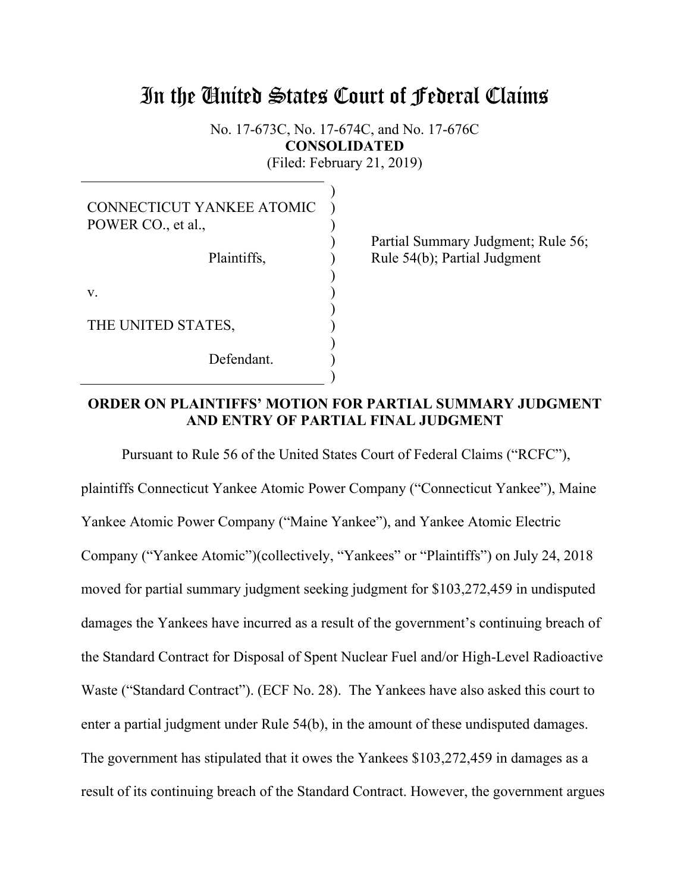# In the United States Court of Federal Claims

No. 17-673C, No. 17-674C, and No. 17-676C **CONSOLIDATED**  (Filed: February 21, 2019)

| <b>CONNECTICUT YANKEE ATOMIC</b><br>POWER CO., et al., |  |
|--------------------------------------------------------|--|
| Plaintiffs,                                            |  |
| V.                                                     |  |
| THE UNITED STATES,                                     |  |
| Defendant.                                             |  |
|                                                        |  |

Partial Summary Judgment; Rule 56; Rule 54(b); Partial Judgment

# **ORDER ON PLAINTIFFS' MOTION FOR PARTIAL SUMMARY JUDGMENT AND ENTRY OF PARTIAL FINAL JUDGMENT**

 Pursuant to Rule 56 of the United States Court of Federal Claims ("RCFC"), plaintiffs Connecticut Yankee Atomic Power Company ("Connecticut Yankee"), Maine Yankee Atomic Power Company ("Maine Yankee"), and Yankee Atomic Electric Company ("Yankee Atomic")(collectively, "Yankees" or "Plaintiffs") on July 24, 2018 moved for partial summary judgment seeking judgment for \$103,272,459 in undisputed damages the Yankees have incurred as a result of the government's continuing breach of the Standard Contract for Disposal of Spent Nuclear Fuel and/or High-Level Radioactive Waste ("Standard Contract"). (ECF No. 28). The Yankees have also asked this court to enter a partial judgment under Rule 54(b), in the amount of these undisputed damages. The government has stipulated that it owes the Yankees \$103,272,459 in damages as a result of its continuing breach of the Standard Contract. However, the government argues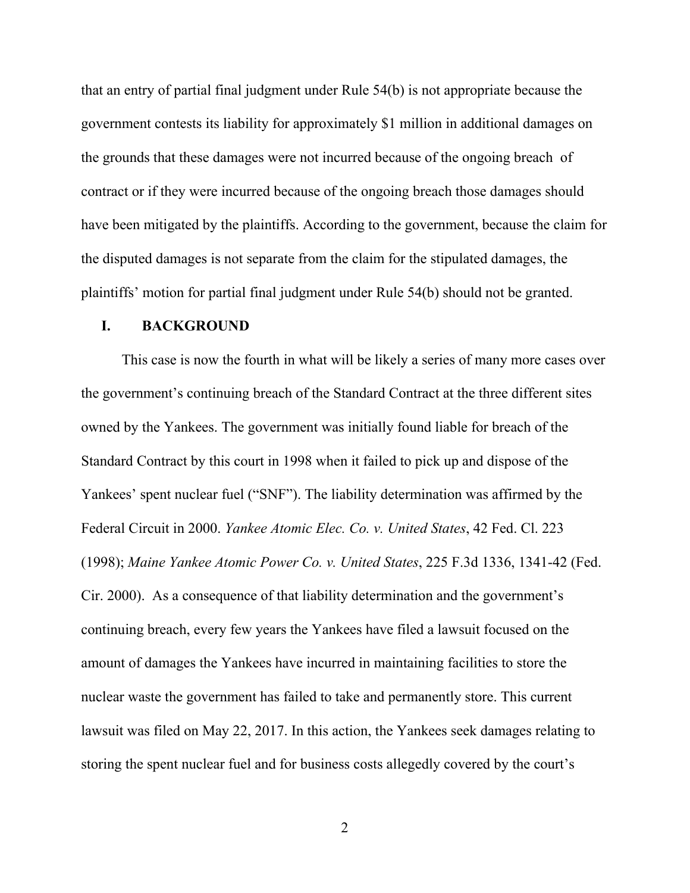that an entry of partial final judgment under Rule 54(b) is not appropriate because the government contests its liability for approximately \$1 million in additional damages on the grounds that these damages were not incurred because of the ongoing breach of contract or if they were incurred because of the ongoing breach those damages should have been mitigated by the plaintiffs. According to the government, because the claim for the disputed damages is not separate from the claim for the stipulated damages, the plaintiffs' motion for partial final judgment under Rule 54(b) should not be granted.

#### **I. BACKGROUND**

 This case is now the fourth in what will be likely a series of many more cases over the government's continuing breach of the Standard Contract at the three different sites owned by the Yankees. The government was initially found liable for breach of the Standard Contract by this court in 1998 when it failed to pick up and dispose of the Yankees' spent nuclear fuel ("SNF"). The liability determination was affirmed by the Federal Circuit in 2000. *Yankee Atomic Elec. Co. v. United States*, 42 Fed. Cl. 223 (1998); *Maine Yankee Atomic Power Co. v. United States*, 225 F.3d 1336, 1341-42 (Fed. Cir. 2000). As a consequence of that liability determination and the government's continuing breach, every few years the Yankees have filed a lawsuit focused on the amount of damages the Yankees have incurred in maintaining facilities to store the nuclear waste the government has failed to take and permanently store. This current lawsuit was filed on May 22, 2017. In this action, the Yankees seek damages relating to storing the spent nuclear fuel and for business costs allegedly covered by the court's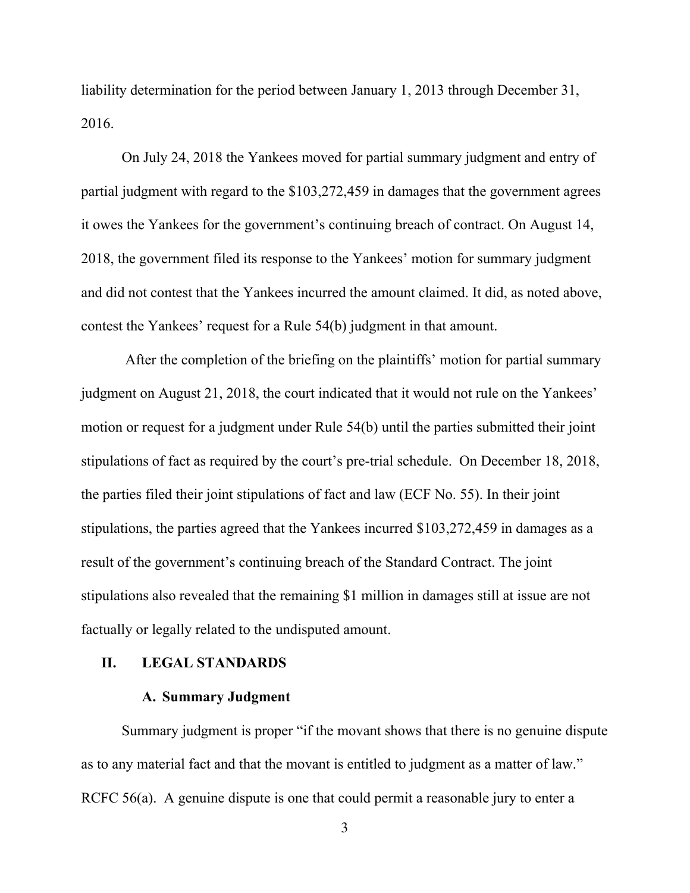liability determination for the period between January 1, 2013 through December 31, 2016.

On July 24, 2018 the Yankees moved for partial summary judgment and entry of partial judgment with regard to the \$103,272,459 in damages that the government agrees it owes the Yankees for the government's continuing breach of contract. On August 14, 2018, the government filed its response to the Yankees' motion for summary judgment and did not contest that the Yankees incurred the amount claimed. It did, as noted above, contest the Yankees' request for a Rule 54(b) judgment in that amount.

 After the completion of the briefing on the plaintiffs' motion for partial summary judgment on August 21, 2018, the court indicated that it would not rule on the Yankees' motion or request for a judgment under Rule 54(b) until the parties submitted their joint stipulations of fact as required by the court's pre-trial schedule. On December 18, 2018, the parties filed their joint stipulations of fact and law (ECF No. 55). In their joint stipulations, the parties agreed that the Yankees incurred \$103,272,459 in damages as a result of the government's continuing breach of the Standard Contract. The joint stipulations also revealed that the remaining \$1 million in damages still at issue are not factually or legally related to the undisputed amount.

#### **II. LEGAL STANDARDS**

## **A. Summary Judgment**

Summary judgment is proper "if the movant shows that there is no genuine dispute as to any material fact and that the movant is entitled to judgment as a matter of law." RCFC 56(a). A genuine dispute is one that could permit a reasonable jury to enter a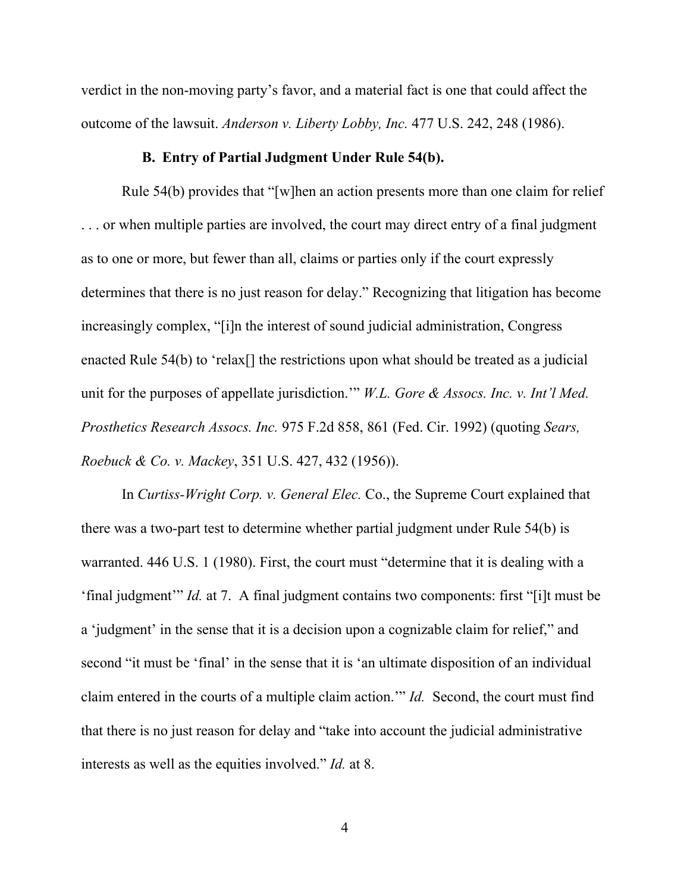verdict in the non-moving party's favor, and a material fact is one that could affect the outcome of the lawsuit. *Anderson v. Liberty Lobby, Inc.* 477 U.S. 242, 248 (1986).

#### **B. Entry of Partial Judgment Under Rule 54(b).**

Rule 54(b) provides that "[w]hen an action presents more than one claim for relief . . . or when multiple parties are involved, the court may direct entry of a final judgment as to one or more, but fewer than all, claims or parties only if the court expressly determines that there is no just reason for delay." Recognizing that litigation has become increasingly complex, "[i]n the interest of sound judicial administration, Congress enacted Rule 54(b) to 'relax<sup>[]</sup> the restrictions upon what should be treated as a judicial unit for the purposes of appellate jurisdiction.'" *W.L. Gore & Assocs. Inc. v. Int'l Med. Prosthetics Research Assocs. Inc.* 975 F.2d 858, 861 (Fed. Cir. 1992) (quoting *Sears, Roebuck & Co. v. Mackey*, 351 U.S. 427, 432 (1956)).

In *Curtiss-Wright Corp. v. General Elec.* Co., the Supreme Court explained that there was a two-part test to determine whether partial judgment under Rule 54(b) is warranted. 446 U.S. 1 (1980). First, the court must "determine that it is dealing with a 'final judgment'" *Id.* at 7. A final judgment contains two components: first "[i]t must be a 'judgment' in the sense that it is a decision upon a cognizable claim for relief," and second "it must be 'final' in the sense that it is 'an ultimate disposition of an individual claim entered in the courts of a multiple claim action.'" *Id.* Second, the court must find that there is no just reason for delay and "take into account the judicial administrative interests as well as the equities involved." *Id.* at 8.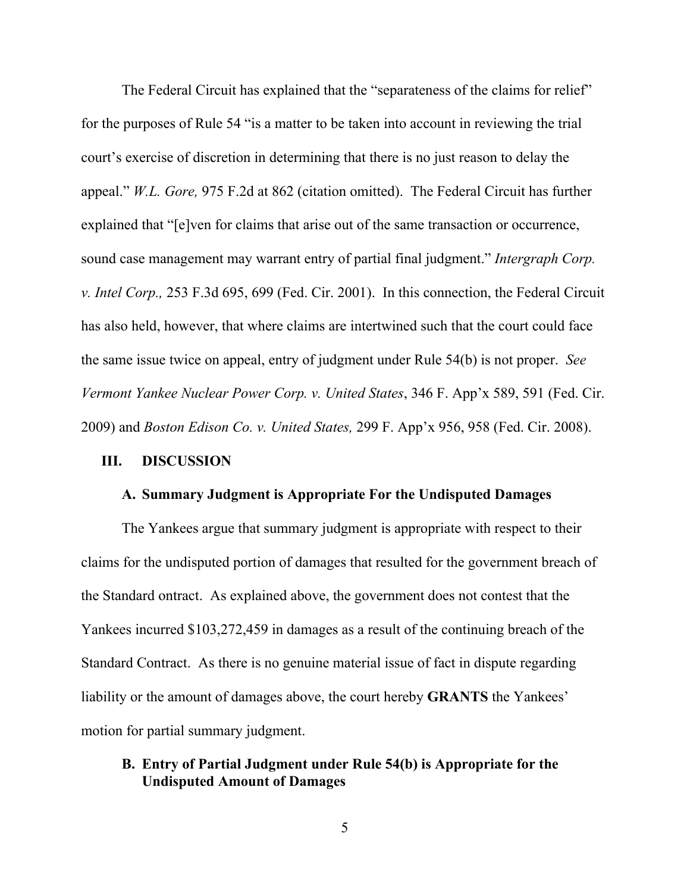The Federal Circuit has explained that the "separateness of the claims for relief" for the purposes of Rule 54 "is a matter to be taken into account in reviewing the trial court's exercise of discretion in determining that there is no just reason to delay the appeal." *W.L. Gore,* 975 F.2d at 862 (citation omitted). The Federal Circuit has further explained that "[e]ven for claims that arise out of the same transaction or occurrence, sound case management may warrant entry of partial final judgment." *Intergraph Corp. v. Intel Corp.,* 253 F.3d 695, 699 (Fed. Cir. 2001). In this connection, the Federal Circuit has also held, however, that where claims are intertwined such that the court could face the same issue twice on appeal, entry of judgment under Rule 54(b) is not proper. *See Vermont Yankee Nuclear Power Corp. v. United States*, 346 F. App'x 589, 591 (Fed. Cir. 2009) and *Boston Edison Co. v. United States,* 299 F. App'x 956, 958 (Fed. Cir. 2008).

## **III. DISCUSSION**

#### **A. Summary Judgment is Appropriate For the Undisputed Damages**

The Yankees argue that summary judgment is appropriate with respect to their claims for the undisputed portion of damages that resulted for the government breach of the Standard ontract. As explained above, the government does not contest that the Yankees incurred \$103,272,459 in damages as a result of the continuing breach of the Standard Contract. As there is no genuine material issue of fact in dispute regarding liability or the amount of damages above, the court hereby **GRANTS** the Yankees' motion for partial summary judgment.

# **B. Entry of Partial Judgment under Rule 54(b) is Appropriate for the Undisputed Amount of Damages**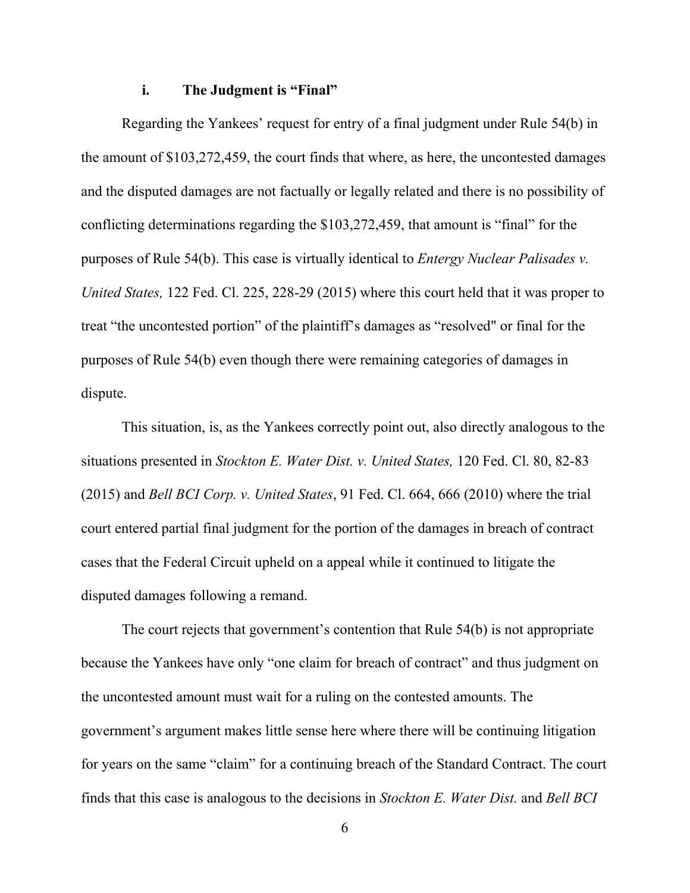#### **i. The Judgment is "Final"**

Regarding the Yankees' request for entry of a final judgment under Rule 54(b) in the amount of \$103,272,459, the court finds that where, as here, the uncontested damages and the disputed damages are not factually or legally related and there is no possibility of conflicting determinations regarding the \$103,272,459, that amount is "final" for the purposes of Rule 54(b). This case is virtually identical to *Entergy Nuclear Palisades v. United States,* 122 Fed. Cl. 225, 228-29 (2015) where this court held that it was proper to treat "the uncontested portion" of the plaintiff's damages as "resolved" or final for the purposes of Rule 54(b) even though there were remaining categories of damages in dispute.

This situation, is, as the Yankees correctly point out, also directly analogous to the situations presented in *Stockton E. Water Dist. v. United States,* 120 Fed. Cl. 80, 82-83 (2015) and *Bell BCI Corp. v. United States*, 91 Fed. Cl. 664, 666 (2010) where the trial court entered partial final judgment for the portion of the damages in breach of contract cases that the Federal Circuit upheld on a appeal while it continued to litigate the disputed damages following a remand.

The court rejects that government's contention that Rule 54(b) is not appropriate because the Yankees have only "one claim for breach of contract" and thus judgment on the uncontested amount must wait for a ruling on the contested amounts. The government's argument makes little sense here where there will be continuing litigation for years on the same "claim" for a continuing breach of the Standard Contract. The court finds that this case is analogous to the decisions in *Stockton E. Water Dist.* and *Bell BCI*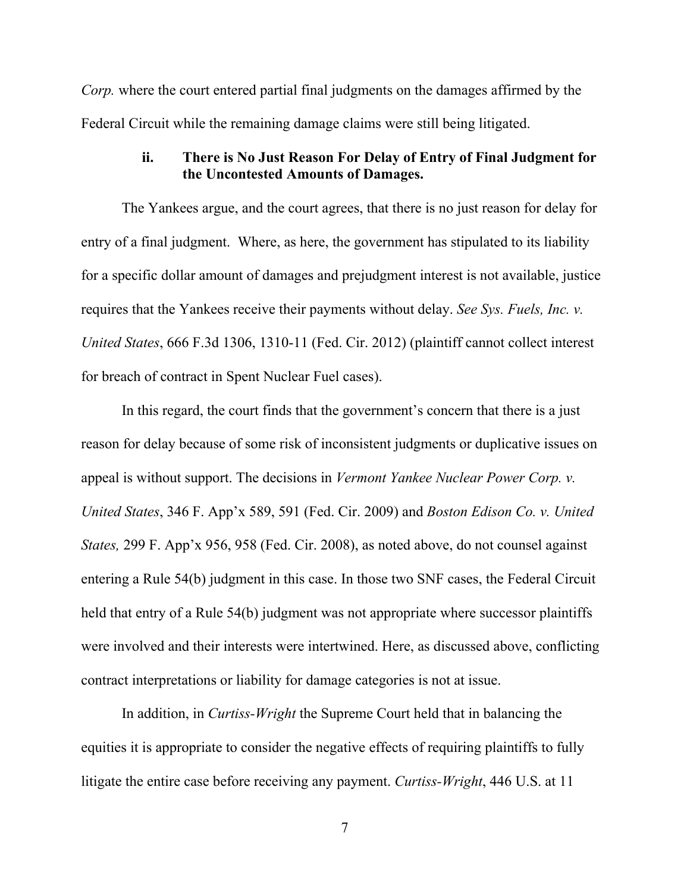*Corp.* where the court entered partial final judgments on the damages affirmed by the Federal Circuit while the remaining damage claims were still being litigated.

# **ii. There is No Just Reason For Delay of Entry of Final Judgment for the Uncontested Amounts of Damages.**

The Yankees argue, and the court agrees, that there is no just reason for delay for entry of a final judgment. Where, as here, the government has stipulated to its liability for a specific dollar amount of damages and prejudgment interest is not available, justice requires that the Yankees receive their payments without delay. *See Sys. Fuels, Inc. v. United States*, 666 F.3d 1306, 1310-11 (Fed. Cir. 2012) (plaintiff cannot collect interest for breach of contract in Spent Nuclear Fuel cases).

In this regard, the court finds that the government's concern that there is a just reason for delay because of some risk of inconsistent judgments or duplicative issues on appeal is without support. The decisions in *Vermont Yankee Nuclear Power Corp. v. United States*, 346 F. App'x 589, 591 (Fed. Cir. 2009) and *Boston Edison Co. v. United States,* 299 F. App'x 956, 958 (Fed. Cir. 2008), as noted above, do not counsel against entering a Rule 54(b) judgment in this case. In those two SNF cases, the Federal Circuit held that entry of a Rule 54(b) judgment was not appropriate where successor plaintiffs were involved and their interests were intertwined. Here, as discussed above, conflicting contract interpretations or liability for damage categories is not at issue.

In addition, in *Curtiss-Wright* the Supreme Court held that in balancing the equities it is appropriate to consider the negative effects of requiring plaintiffs to fully litigate the entire case before receiving any payment. *Curtiss-Wright*, 446 U.S. at 11